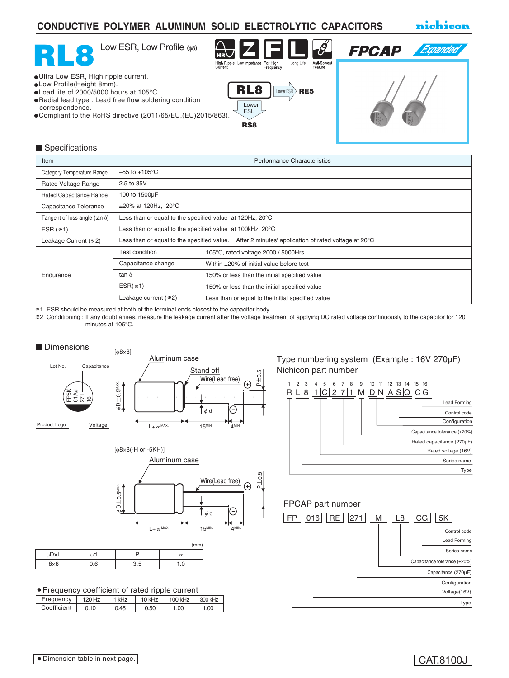### **CONDUCTIVE POLYMER ALUMINUM SOLID ELECTROLYTIC CAPACITORS**

nichicon



#### Specifications

| Item                                  | <b>Performance Characteristics</b>                                                               |                                                          |  |  |  |  |  |  |
|---------------------------------------|--------------------------------------------------------------------------------------------------|----------------------------------------------------------|--|--|--|--|--|--|
| Category Temperature Range            | $-55$ to $+105^{\circ}$ C                                                                        |                                                          |  |  |  |  |  |  |
| Rated Voltage Range                   | 2.5 to 35V                                                                                       |                                                          |  |  |  |  |  |  |
| Rated Capacitance Range               | 100 to 1500µF                                                                                    |                                                          |  |  |  |  |  |  |
| Capacitance Tolerance                 | $\pm 20\%$ at 120Hz, 20°C                                                                        |                                                          |  |  |  |  |  |  |
| Tangent of loss angle (tan $\delta$ ) |                                                                                                  | Less than or equal to the specified value at 120Hz, 20°C |  |  |  |  |  |  |
| ESR $(*1)$                            | Less than or equal to the specified value $at$ 100kHz, 20 $\rm ^{\circ}C$                        |                                                          |  |  |  |  |  |  |
| Leakage Current (*2)                  | Less than or equal to the specified value. After 2 minutes' application of rated voltage at 20°C |                                                          |  |  |  |  |  |  |
|                                       | <b>Test condition</b>                                                                            | 105°C, rated voltage 2000 / 5000Hrs.                     |  |  |  |  |  |  |
| Endurance                             | Capacitance change                                                                               | Within $\pm 20\%$ of initial value before test           |  |  |  |  |  |  |
|                                       | tan $\delta$                                                                                     | 150% or less than the initial specified value            |  |  |  |  |  |  |
|                                       | $ESR(*1)$                                                                                        | 150% or less than the initial specified value            |  |  |  |  |  |  |
|                                       | Leakage current (*2)                                                                             | Less than or equal to the initial specified value        |  |  |  |  |  |  |

1 ESR should be measured at both of the terminal ends closest to the capacitor body.

2 Conditioning : If any doubt arises, measure the leakage current after the voltage treatment of applying DC rated voltage continuously to the capacitor for 120 minutes at 105°C.





|            |     |     | (mm)     |
|------------|-----|-----|----------|
| φD×L       | фd  |     | $\alpha$ |
| $8\times8$ | 0.6 | 3.5 | 0.1      |

Frequency coefficient of rated ripple current

| Frequency   | 120 Hz | 1 kHz | 10 kHz | 100 kHz | 300 kHz |
|-------------|--------|-------|--------|---------|---------|
| Coefficient | 0.10   | 0.45  | 0.50   | 1.00    | 1.00    |

Type numbering system (Example : 16V 270µF) Nichicon part number



#### FPCAP part number

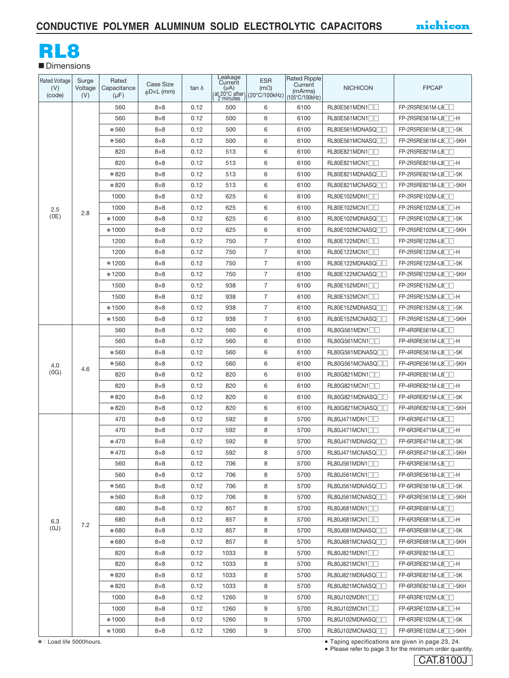# RL8

**■** Dimensions

| Rated Voltage<br>(V)<br>(code) | Surge<br>Voltage<br>(V) | Rated<br>Capacitance<br>$(\mu F)$ | <b>Case Size</b><br>$\phi$ D×L (mm) | $tan \delta$ | Leakage<br>Current<br>$(\mu A)$ | <b>ESR</b><br>$(m\Omega)$<br>(at 20°C after) (20°C/100kHz) | Rated Ripple<br>Current<br>(mArms)<br>(105°C/100kHz) | <b>NICHICON</b>               | <b>FPCAP</b>                       |
|--------------------------------|-------------------------|-----------------------------------|-------------------------------------|--------------|---------------------------------|------------------------------------------------------------|------------------------------------------------------|-------------------------------|------------------------------------|
|                                |                         | 560                               | $8\times8$                          | 0.12         | 500                             | 6                                                          | 6100                                                 | RL80E561MDN1                  | FP-2R5RE561M-L8                    |
|                                |                         | 560                               | $8\times8$                          | 0.12         | 500                             | 6                                                          | 6100                                                 | RL80E561MCN1                  | FP-2R5RE561M-L8                    |
|                                |                         | $*560$                            | $8\times8$                          | 0.12         | 500                             | 6                                                          | 6100                                                 | RL80E561MDNASQ                | FP-2R5RE561M-L8 <sup>1</sup> -5K   |
|                                |                         | *560                              | $8\times8$                          | 0.12         | 500                             | 6                                                          | 6100                                                 | RL80E561MCNASQ                | FP-2R5RE561M-L8 <sup>1</sup> -5KH  |
|                                |                         | 820                               | $8\times8$                          | 0.12         | 513                             | 6                                                          | 6100                                                 | RL80E821MDN1                  | $FP-2R5RE821M-L8$                  |
|                                |                         | 820                               | $8\times8$                          | 0.12         | 513                             | 6                                                          | 6100                                                 | RL80E821MCN1                  | $FP-2R5RE821M-L8$                  |
|                                |                         | *820                              | $8\times8$                          | 0.12         | 513                             | 6                                                          | 6100                                                 | RL80E821MDNASQ                | FP-2R5RE821M-L8 <sup>1-</sup> 5K   |
|                                |                         | *820                              | $8\times8$                          | 0.12         | 513                             | 6                                                          | 6100                                                 | RL80E821MCNASQ                | FP-2R5RE821M-L8 <sup>1</sup> -5KH  |
|                                |                         | 1000                              | $8\times8$                          | 0.12         | 625                             | 6                                                          | 6100                                                 | RL80E102MDN1                  | FP-2R5RE102M-L8                    |
| 2.5                            | 2.8                     | 1000                              | $8\times8$                          | 0.12         | 625                             | 6                                                          | 6100                                                 | RL80E102MCN1                  | FP-2R5RE102M-L8                    |
| (OE)                           |                         | *1000                             | $8\times8$                          | 0.12         | 625                             | 6                                                          | 6100                                                 | RL80E102MDNASQ                | FP-2R5RE102M-L8 <sup>1</sup> -5K   |
|                                |                         | *1000                             | $8\times8$                          | 0.12         | 625                             | 6                                                          | 6100                                                 | RL80E102MCNASQ                | FP-2R5RE102M-L8 <sup>1</sup> -5KH  |
|                                |                         | 1200                              | $8\times8$                          | 0.12         | 750                             | $\overline{7}$                                             | 6100                                                 | RL80E122MDN1                  | FP-2R5RE122M-L8                    |
|                                |                         | 1200                              | $8\times8$                          | 0.12         | 750                             | $\overline{7}$                                             | 6100                                                 | RL80E122MCN1                  | FP-2R5RE122M-L8                    |
|                                |                         | *1200                             | $8\times8$                          | 0.12         | 750                             | $\overline{7}$                                             | 6100                                                 | RL80E122MDNASQ                | FP-2R5RE122M-L8 <sup>1</sup> -5K   |
|                                |                         | * 1200                            | $8\times8$                          | 0.12         | 750                             | $\overline{7}$                                             | 6100                                                 | RL80E122MCNASQ                | $FP-2R5RE122M-L8$ -5KH             |
|                                |                         | 1500                              | $8\times8$                          | 0.12         | 938                             | $\overline{7}$                                             | 6100                                                 | RL80E152MDN1                  | FP-2R5RE152M-L8                    |
|                                |                         | 1500                              | $8\times8$                          | 0.12         | 938                             | $\overline{7}$                                             | 6100                                                 | RL80E152MCN1                  | FP-2R5RE152M-L8 <sup>1</sup>       |
|                                |                         | *1500                             | $8\times8$                          | 0.12         | 938                             | $\overline{7}$                                             | 6100                                                 | RL80E152MDNASQ                | FP-2R5RE152M-L8 <sup>1</sup> -5K   |
|                                |                         | *1500                             | $8\times8$                          | 0.12         | 938                             | $\overline{7}$                                             | 6100                                                 | RL80E152MCNASQ <sup>[1]</sup> | FP-2R5RE152M-L8 <sup>11</sup> -5KH |
|                                |                         | 560                               | $8\times8$                          | 0.12         | 560                             | 6                                                          | 6100                                                 | RL80G561MDN1                  | FP-4R0RE561M-L8                    |
|                                |                         | 560                               | $8\times8$                          | 0.12         | 560                             | 6                                                          | 6100                                                 | RL80G561MCN1                  | FP-4R0RE561M-L8 <sup>1</sup>       |
|                                |                         | *560                              | $8\times8$                          | 0.12         | 560                             | 6                                                          | 6100                                                 | RL80G561MDNASQ                | $FP-4RORE561M-L8$                  |
| 4.0                            |                         | *560                              | $8\times8$                          | 0.12         | 560                             | 6                                                          | 6100                                                 | RL80G561MCNASQ <sup></sup>    | FP-4R0RE561M-L8 <sup>1</sup> -5KH  |
| (OG)                           | 4.6                     | 820                               | $8\times8$                          | 0.12         | 820                             | 6                                                          | 6100                                                 | RL80G821MDN1                  | FP-4R0RE821M-L8                    |
|                                |                         | 820                               | $8\times8$                          | 0.12         | 820                             | 6                                                          | 6100                                                 | RL80G821MCN1                  | FP-4R0RE821M-L8                    |
|                                |                         | *820                              | $8\times8$                          | 0.12         | 820                             | 6                                                          | 6100                                                 | RL80G821MDNASQ <sup></sup>    | FP-4R0RE821M-L8 <sup>1</sup> -5K   |
|                                |                         | *820                              | $8\times8$                          | 0.12         | 820                             | 6                                                          | 6100                                                 | RL80G821MCNASQ                | FP-4R0RE821M-L8                    |
|                                |                         | 470                               | $8\times8$                          | 0.12         | 592                             | 8                                                          | 5700                                                 | RL80J471MDN1                  | $FP-6R3RE471M-L8$                  |
|                                |                         | 470                               | $8\times8$                          | 0.12         | 592                             | 8                                                          | 5700                                                 | RL80J471MCN1                  | $FP-6R3RE471M-L8$                  |
|                                |                         | $*470$                            | $8\times8$                          | 0.12         | 592                             | 8                                                          | 5700                                                 | RL80J471MDNASQ <sub>II</sub>  | $FP-6R3RE471M-L8$ $-5K$            |
|                                |                         | $*470$                            | $8\times8$                          | 0.12         | 592                             | 8                                                          | 5700                                                 | RL80J471MCNASQ <sub>ID</sub>  | FP-6R3RE471M-L8 <sup>1</sup> -5KH  |
|                                |                         | 560                               | $8\times8$                          | 0.12         | 706                             | 8                                                          | 5700                                                 | RL80J561MDN1                  | FP-6R3RE561M-L8                    |
|                                |                         | 560                               | $8\times8$                          | 0.12         | 706                             | 8                                                          | 5700                                                 | RL80J561MCN1                  | FP-6R3RE561M-L8 <sup>1</sup>       |
|                                |                         | *560                              | $8\times8$                          | 0.12         | 706                             | 8                                                          | 5700                                                 | RL80J561MDNASQ <sub>[1]</sub> | FP-6R3RE561M-L8 <sup>1</sup> -5K   |
|                                |                         | *560                              | $8\times8$                          | 0.12         | 706                             | 8                                                          | 5700                                                 | RL80J561MCNASQ <sup>1</sup>   | FP-6R3RE561M-L8 <sup>1</sup> -5KH  |
|                                |                         | 680                               | $8\times8$                          | 0.12         | 857                             | 8                                                          | 5700                                                 | RL80J681MDN1                  | FP-6R3RE681M-L8                    |
| 6.3                            | 7.2                     | 680                               | $8\times8$                          | 0.12         | 857                             | 8                                                          | 5700                                                 | RL80J681MCN1                  | FP-6R3RE681M-L8 <sup>1</sup>       |
| (U <sub>0</sub> )              |                         | *680                              | $8\times8$                          | 0.12         | 857                             | 8                                                          | 5700                                                 | RL80J681MDNASQ <sup></sup>    | $FP-6R3RE681M-L8$ -5K              |
|                                |                         | *680                              | $8\times8$                          | 0.12         | 857                             | 8                                                          | 5700                                                 | RL80J681MCNASQ <sup>1</sup>   | FP-6R3RE681M-L8 <sup>1</sup> -5KH  |
|                                |                         | 820                               | $8\times8$                          | 0.12         | 1033                            | 8                                                          | 5700                                                 | RL80J821MDN1                  | FP-6R3RE821M-L8                    |
|                                |                         | 820                               | $8\times8$                          | 0.12         | 1033                            | 8                                                          | 5700                                                 | RL80J821MCN1                  | FP-6R3RE821M-L8 <sup>1</sup>       |
|                                |                         | *820                              | $8\times8$                          | 0.12         | 1033                            | 8                                                          | 5700                                                 | RL80J821MDNASQ <sup></sup>    | FP-6R3RE821M-L8 <sup>1</sup> -5K   |
|                                |                         | *820                              | $8\times8$                          | 0.12         | 1033                            | 8                                                          | 5700                                                 | RL80J821MCNASQ                | FP-6R3RE821M-L8 <sup>1</sup> -5KH  |
|                                |                         | 1000                              | $8\times8$                          | 0.12         | 1260                            | 9                                                          | 5700                                                 | RL80J102MDN1                  | FP-6R3RE102M-L8                    |
|                                |                         | 1000                              | $8\times8$                          | 0.12         | 1260                            | 9                                                          | 5700                                                 | RL80J102MCN1                  | $FP-6R3RE102M-L8$                  |
|                                |                         | *1000                             | $8\times8$                          | 0.12         | 1260                            | 9                                                          | 5700                                                 | RL80J102MDNASQ <sup></sup>    | FP-6R3RE102M-L8 <sup>1</sup> -5K   |
|                                |                         | *1000                             | $8\times8$                          | 0.12         | 1260                            | 9                                                          | 5700                                                 | RL80J102MCNASQ <sup>1</sup>   | FP-6R3RE102M-L8 <sup>1</sup> -5KH  |

: Load life 5000hours. Taping specifications are given in page 23, 24.

CAT.8100J Please refer to page 3 for the minimum order quantity.